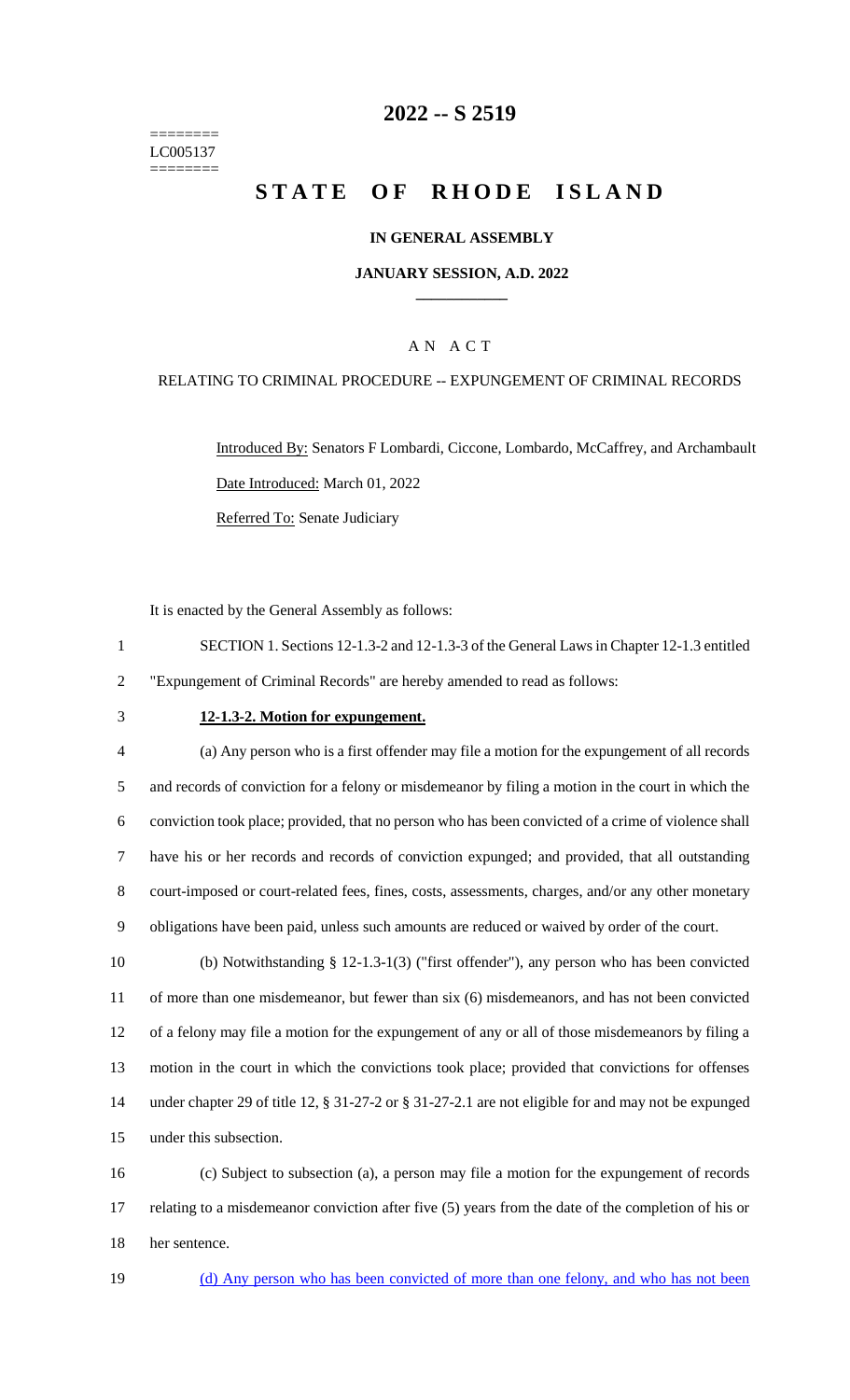======== LC005137 ========

# **-- S 2519**

# **STATE OF RHODE ISLAND**

### **IN GENERAL ASSEMBLY**

### **JANUARY SESSION, A.D. 2022 \_\_\_\_\_\_\_\_\_\_\_\_**

## A N A C T

### RELATING TO CRIMINAL PROCEDURE -- EXPUNGEMENT OF CRIMINAL RECORDS

Introduced By: Senators F Lombardi, Ciccone, Lombardo, McCaffrey, and Archambault Date Introduced: March 01, 2022 Referred To: Senate Judiciary

It is enacted by the General Assembly as follows:

- SECTION 1. Sections 12-1.3-2 and 12-1.3-3 of the General Laws in Chapter 12-1.3 entitled "Expungement of Criminal Records" are hereby amended to read as follows:
- 

#### **12-1.3-2. Motion for expungement.**

 (a) Any person who is a first offender may file a motion for the expungement of all records and records of conviction for a felony or misdemeanor by filing a motion in the court in which the conviction took place; provided, that no person who has been convicted of a crime of violence shall have his or her records and records of conviction expunged; and provided, that all outstanding court-imposed or court-related fees, fines, costs, assessments, charges, and/or any other monetary obligations have been paid, unless such amounts are reduced or waived by order of the court.

 (b) Notwithstanding § 12-1.3-1(3) ("first offender"), any person who has been convicted of more than one misdemeanor, but fewer than six (6) misdemeanors, and has not been convicted of a felony may file a motion for the expungement of any or all of those misdemeanors by filing a motion in the court in which the convictions took place; provided that convictions for offenses under chapter 29 of title 12, § 31-27-2 or § 31-27-2.1 are not eligible for and may not be expunged under this subsection.

 (c) Subject to subsection (a), a person may file a motion for the expungement of records relating to a misdemeanor conviction after five (5) years from the date of the completion of his or her sentence.

(d) Any person who has been convicted of more than one felony, and who has not been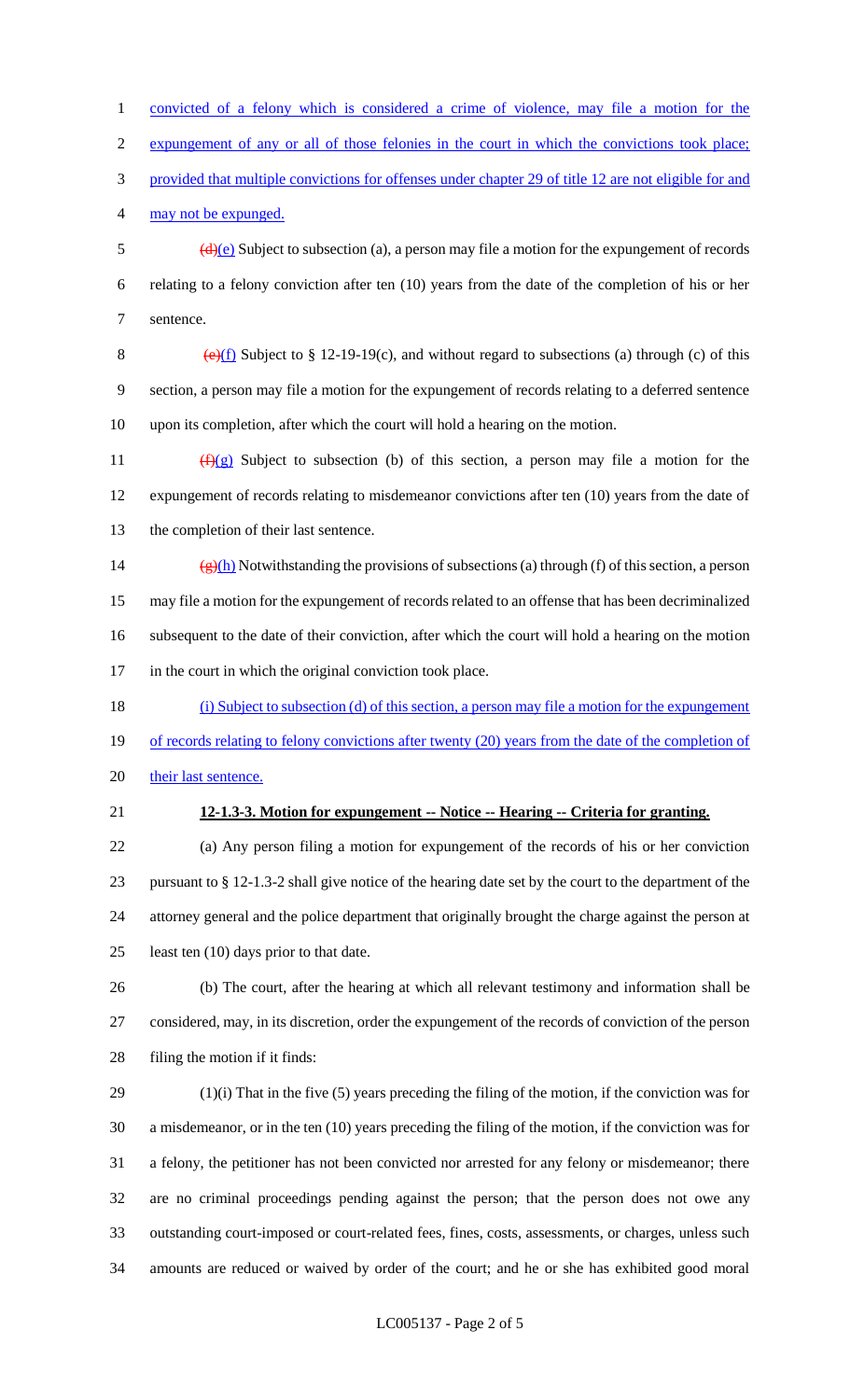convicted of a felony which is considered a crime of violence, may file a motion for the expungement of any or all of those felonies in the court in which the convictions took place; provided that multiple convictions for offenses under chapter 29 of title 12 are not eligible for and may not be expunged.  $\frac{d}{e}$  Subject to subsection (a), a person may file a motion for the expungement of records relating to a felony conviction after ten (10) years from the date of the completion of his or her sentence. 8 (e)(f) Subject to  $\S 12-19-19(c)$ , and without regard to subsections (a) through (c) of this section, a person may file a motion for the expungement of records relating to a deferred sentence upon its completion, after which the court will hold a hearing on the motion.  $(f)(g)$  Subject to subsection (b) of this section, a person may file a motion for the expungement of records relating to misdemeanor convictions after ten (10) years from the date of the completion of their last sentence.  $(g)(h)$  Notwithstanding the provisions of subsections (a) through (f) of this section, a person may file a motion for the expungement of records related to an offense that has been decriminalized subsequent to the date of their conviction, after which the court will hold a hearing on the motion in the court in which the original conviction took place. (i) Subject to subsection (d) of this section, a person may file a motion for the expungement 19 of records relating to felony convictions after twenty (20) years from the date of the completion of 20 their last sentence. **12-1.3-3. Motion for expungement -- Notice -- Hearing -- Criteria for granting.** (a) Any person filing a motion for expungement of the records of his or her conviction pursuant to § 12-1.3-2 shall give notice of the hearing date set by the court to the department of the attorney general and the police department that originally brought the charge against the person at 25 least ten (10) days prior to that date. (b) The court, after the hearing at which all relevant testimony and information shall be considered, may, in its discretion, order the expungement of the records of conviction of the person filing the motion if it finds:

 (1)(i) That in the five (5) years preceding the filing of the motion, if the conviction was for a misdemeanor, or in the ten (10) years preceding the filing of the motion, if the conviction was for a felony, the petitioner has not been convicted nor arrested for any felony or misdemeanor; there are no criminal proceedings pending against the person; that the person does not owe any outstanding court-imposed or court-related fees, fines, costs, assessments, or charges, unless such amounts are reduced or waived by order of the court; and he or she has exhibited good moral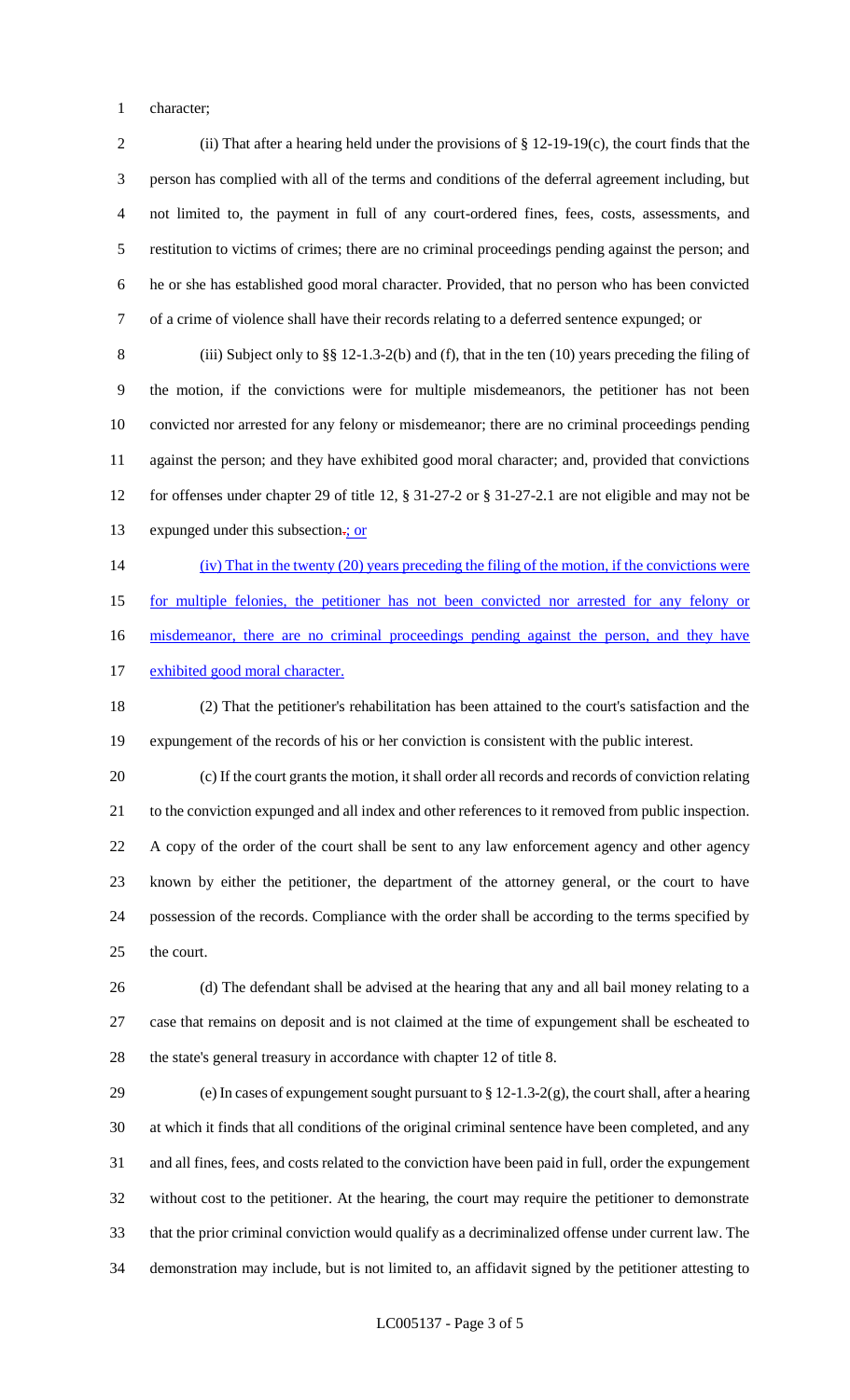character;

 (ii) That after a hearing held under the provisions of § 12-19-19(c), the court finds that the person has complied with all of the terms and conditions of the deferral agreement including, but not limited to, the payment in full of any court-ordered fines, fees, costs, assessments, and restitution to victims of crimes; there are no criminal proceedings pending against the person; and he or she has established good moral character. Provided, that no person who has been convicted of a crime of violence shall have their records relating to a deferred sentence expunged; or

 (iii) Subject only to §§ 12-1.3-2(b) and (f), that in the ten (10) years preceding the filing of the motion, if the convictions were for multiple misdemeanors, the petitioner has not been convicted nor arrested for any felony or misdemeanor; there are no criminal proceedings pending against the person; and they have exhibited good moral character; and, provided that convictions for offenses under chapter 29 of title 12, § 31-27-2 or § 31-27-2.1 are not eligible and may not be 13 expunged under this subsection-; or

(iv) That in the twenty (20) years preceding the filing of the motion, if the convictions were

for multiple felonies, the petitioner has not been convicted nor arrested for any felony or

16 misdemeanor, there are no criminal proceedings pending against the person, and they have

17 exhibited good moral character.

 (2) That the petitioner's rehabilitation has been attained to the court's satisfaction and the expungement of the records of his or her conviction is consistent with the public interest.

 (c) If the court grants the motion, it shall order all records and records of conviction relating to the conviction expunged and all index and other references to it removed from public inspection. A copy of the order of the court shall be sent to any law enforcement agency and other agency known by either the petitioner, the department of the attorney general, or the court to have possession of the records. Compliance with the order shall be according to the terms specified by the court.

 (d) The defendant shall be advised at the hearing that any and all bail money relating to a case that remains on deposit and is not claimed at the time of expungement shall be escheated to the state's general treasury in accordance with chapter 12 of title 8.

 (e) In cases of expungement sought pursuant to § 12-1.3-2(g), the court shall, after a hearing at which it finds that all conditions of the original criminal sentence have been completed, and any and all fines, fees, and costs related to the conviction have been paid in full, order the expungement without cost to the petitioner. At the hearing, the court may require the petitioner to demonstrate that the prior criminal conviction would qualify as a decriminalized offense under current law. The demonstration may include, but is not limited to, an affidavit signed by the petitioner attesting to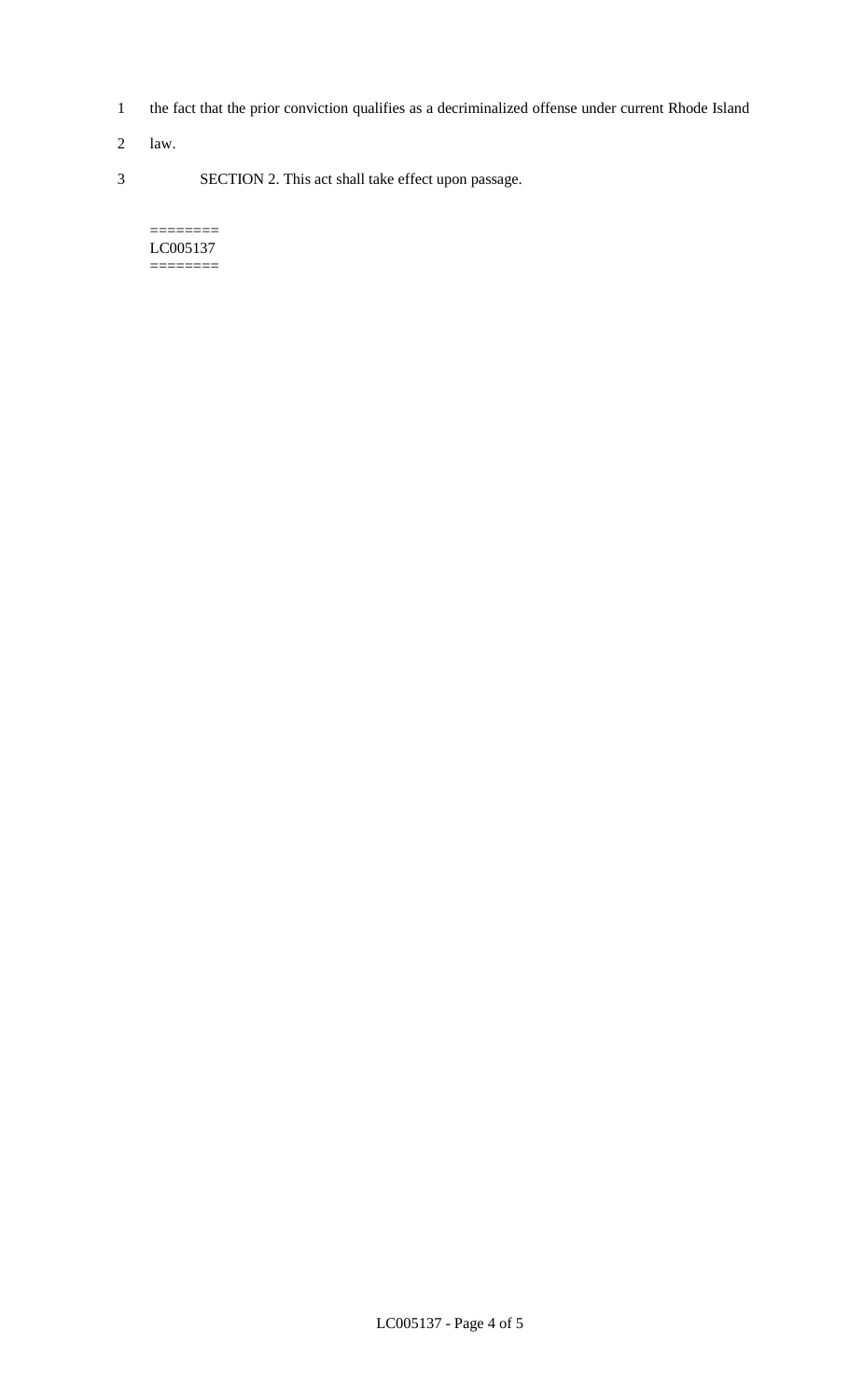- 1 the fact that the prior conviction qualifies as a decriminalized offense under current Rhode Island
- 2 law.
- 3 SECTION 2. This act shall take effect upon passage.

======== LC005137 ========